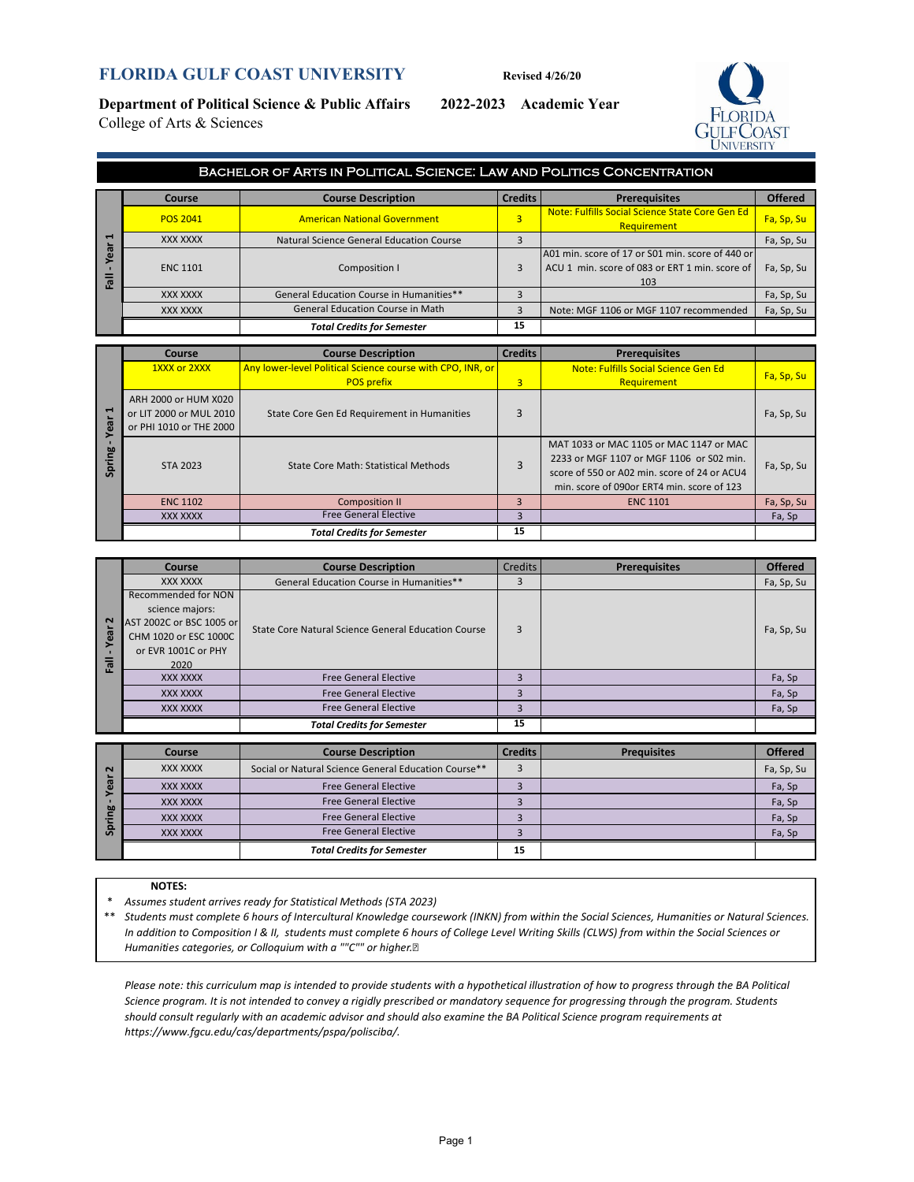## **FLORIDA GULF COAST UNIVERSITY** Revised 4/26/20

**Department of Political Science & Public Affairs 2022-2023 Academic Year** College of Arts & Sciences



|        | BACHELOR OF ARTS IN POLITICAL SCIENCE: LAW AND POLITICS CONCENTRATION |                                          |                |                                                                                                           |                |  |  |  |
|--------|-----------------------------------------------------------------------|------------------------------------------|----------------|-----------------------------------------------------------------------------------------------------------|----------------|--|--|--|
|        | Course                                                                | <b>Course Description</b>                | <b>Credits</b> | <b>Prerequisites</b>                                                                                      | <b>Offered</b> |  |  |  |
|        | <b>POS 2041</b>                                                       | <b>American National Government</b>      | 3              | Note: Fulfills Social Science State Core Gen Ed<br><b>Requirement</b>                                     | Fa, Sp, Su     |  |  |  |
| ᆸ      | XXX XXXX                                                              | Natural Science General Education Course |                |                                                                                                           | Fa, Sp, Su     |  |  |  |
| ത<br>ш | <b>ENC 1101</b>                                                       | Composition I                            | 3              | A01 min. score of 17 or S01 min. score of 440 or<br>ACU 1 min. score of 083 or ERT 1 min. score of<br>103 | Fa, Sp, Su     |  |  |  |
|        | XXX XXXX                                                              | General Education Course in Humanities** |                |                                                                                                           | Fa, Sp, Su     |  |  |  |
|        | XXX XXXX                                                              | General Education Course in Math         | 3              | Note: MGF 1106 or MGF 1107 recommended                                                                    | Fa, Sp, Su     |  |  |  |
|        |                                                                       | <b>Total Credits for Semester</b>        | 15             |                                                                                                           |                |  |  |  |

| −                  | XXX XXXX                                                                   | <b>Natural Science General Education Course</b>                                 | 3              |                                                                                                                                                                                   | Fa, Sp, Su |
|--------------------|----------------------------------------------------------------------------|---------------------------------------------------------------------------------|----------------|-----------------------------------------------------------------------------------------------------------------------------------------------------------------------------------|------------|
| ear<br><b>Te</b>   | <b>ENC 1101</b>                                                            | Composition I                                                                   | 3              | A01 min. score of 17 or S01 min. score of 440 or<br>ACU 1 min. score of 083 or ERT 1 min. score of<br>103                                                                         | Fa, Sp, Su |
|                    | <b>XXX XXXX</b>                                                            | General Education Course in Humanities**                                        | 3              |                                                                                                                                                                                   | Fa, Sp, Su |
|                    | XXX XXXX                                                                   | <b>General Education Course in Math</b>                                         | 3              | Note: MGF 1106 or MGF 1107 recommended                                                                                                                                            | Fa, Sp, Su |
|                    |                                                                            | <b>Total Credits for Semester</b>                                               | 15             |                                                                                                                                                                                   |            |
|                    |                                                                            |                                                                                 |                |                                                                                                                                                                                   |            |
|                    | Course                                                                     | <b>Course Description</b>                                                       | <b>Credits</b> | <b>Prerequisites</b>                                                                                                                                                              |            |
|                    | 1XXX or 2XXX                                                               | Any lower-level Political Science course with CPO, INR, or<br><b>POS prefix</b> | 3              | Note: Fulfills Social Science Gen Ed<br>Requirement                                                                                                                               | Fa, Sp, Su |
|                    |                                                                            |                                                                                 |                |                                                                                                                                                                                   |            |
| ī<br>ear<br>Spring | ARH 2000 or HUM X020<br>or LIT 2000 or MUL 2010<br>or PHI 1010 or THE 2000 | State Core Gen Ed Requirement in Humanities                                     | 3              |                                                                                                                                                                                   | Fa, Sp, Su |
|                    | STA 2023                                                                   | <b>State Core Math: Statistical Methods</b>                                     | $\overline{3}$ | MAT 1033 or MAC 1105 or MAC 1147 or MAC<br>2233 or MGF 1107 or MGF 1106 or S02 min.<br>score of 550 or A02 min. score of 24 or ACU4<br>min. score of 090or ERT4 min. score of 123 | Fa, Sp, Su |
|                    | <b>ENC 1102</b>                                                            | <b>Composition II</b>                                                           | 3              | <b>ENC 1101</b>                                                                                                                                                                   | Fa, Sp, Su |
|                    | <b>XXX XXXX</b>                                                            | <b>Free General Elective</b>                                                    | 3              |                                                                                                                                                                                   | Fa, Sp     |
|                    |                                                                            | <b>Total Credits for Semester</b>                                               | 15             |                                                                                                                                                                                   |            |

|           | Course                   | <b>Course Description</b>                           | <b>Credits</b>          | <b>Prerequisites</b> | <b>Offered</b> |
|-----------|--------------------------|-----------------------------------------------------|-------------------------|----------------------|----------------|
|           | XXX XXXX                 | General Education Course in Humanities**            |                         |                      | Fa, Sp, Su     |
|           | Recommended for NON      |                                                     |                         |                      |                |
|           | science majors:          |                                                     |                         |                      |                |
| $\sim$    | AST 2002C or BSC 1005 or | State Core Natural Science General Education Course | 3                       |                      | Fa, Sp, Su     |
| .<br>Year | CHM 1020 or ESC 1000C    |                                                     |                         |                      |                |
|           | or EVR 1001C or PHY      |                                                     |                         |                      |                |
| 同         | 2020                     |                                                     |                         |                      |                |
|           | <b>XXX XXXX</b>          | <b>Free General Elective</b>                        | $\overline{\mathbf{3}}$ |                      | Fa, Sp         |
|           | <b>XXX XXXX</b>          | <b>Free General Elective</b>                        | 3                       |                      | Fa, Sp         |
|           | <b>XXX XXXX</b>          | <b>Free General Elective</b>                        |                         |                      | Fa, Sp         |
|           |                          | <b>Total Credits for Semester</b>                   | 15                      |                      |                |

| $\sim$ | Course   | <b>Course Description</b>                            | <b>Credits</b> | <b>Prequisites</b> | <b>Offered</b> |
|--------|----------|------------------------------------------------------|----------------|--------------------|----------------|
|        | XXX XXXX | Social or Natural Science General Education Course** |                |                    | Fa, Sp, Su     |
|        | XXX XXXX | <b>Free General Elective</b>                         |                |                    | Fa, Sp         |
| br     | XXX XXXX | <b>Free General Elective</b>                         |                |                    | Fa, Sp         |
|        | XXX XXXX | <b>Free General Elective</b>                         |                |                    | Fa, Sp         |
|        | XXX XXXX | <b>Free General Elective</b>                         |                |                    | Fa, Sp         |
|        |          | <b>Total Credits for Semester</b>                    | 15             |                    |                |

#### **NOTES:**

\* *Assumes student arrives ready for Statistical Methods (STA 2023)*

\*\* *Students must complete 6 hours of Intercultural Knowledge coursework (INKN) from within the Social Sciences, Humanities or Natural Sciences. In addition to Composition I & II, students must complete 6 hours of College Level Writing Skills (CLWS) from within the Social Sciences or Humanities categories, or Colloquium with a ""C"" or higher.* 

*Please note: this curriculum map is intended to provide students with a hypothetical illustration of how to progress through the BA Political Science program. It is not intended to convey a rigidly prescribed or mandatory sequence for progressing through the program. Students should consult regularly with an academic advisor and should also examine the BA Political Science program requirements at https://www.fgcu.edu/cas/departments/pspa/polisciba/.*